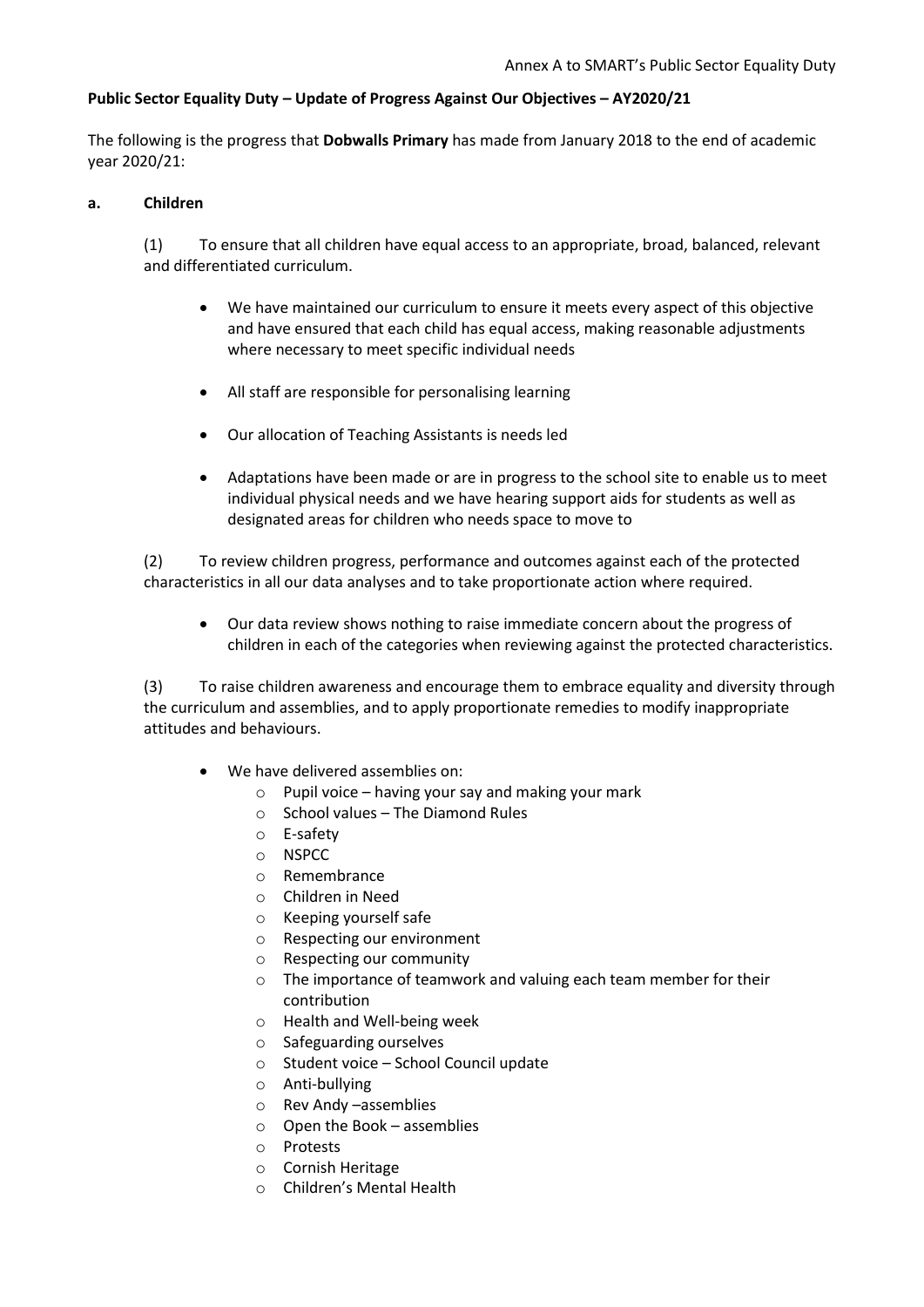# **Public Sector Equality Duty – Update of Progress Against Our Objectives – AY2020/21**

The following is the progress that **Dobwalls Primary** has made from January 2018 to the end of academic year 2020/21:

## **a. Children**

(1) To ensure that all children have equal access to an appropriate, broad, balanced, relevant and differentiated curriculum.

- We have maintained our curriculum to ensure it meets every aspect of this objective and have ensured that each child has equal access, making reasonable adjustments where necessary to meet specific individual needs
- All staff are responsible for personalising learning
- Our allocation of Teaching Assistants is needs led
- Adaptations have been made or are in progress to the school site to enable us to meet individual physical needs and we have hearing support aids for students as well as designated areas for children who needs space to move to

(2) To review children progress, performance and outcomes against each of the protected characteristics in all our data analyses and to take proportionate action where required.

• Our data review shows nothing to raise immediate concern about the progress of children in each of the categories when reviewing against the protected characteristics.

(3) To raise children awareness and encourage them to embrace equality and diversity through the curriculum and assemblies, and to apply proportionate remedies to modify inappropriate attitudes and behaviours.

- We have delivered assemblies on:
	- $\circ$  Pupil voice having your say and making your mark
	- o School values The Diamond Rules
	- o E-safety
	- o NSPCC
	- o Remembrance
	- o Children in Need
	- o Keeping yourself safe
	- o Respecting our environment
	- o Respecting our community
	- o The importance of teamwork and valuing each team member for their contribution
	- o Health and Well-being week
	- o Safeguarding ourselves
	- o Student voice School Council update
	- o Anti-bullying
	- o Rev Andy –assemblies
	- o Open the Book assemblies
	- o Protests
	- o Cornish Heritage
	- o Children's Mental Health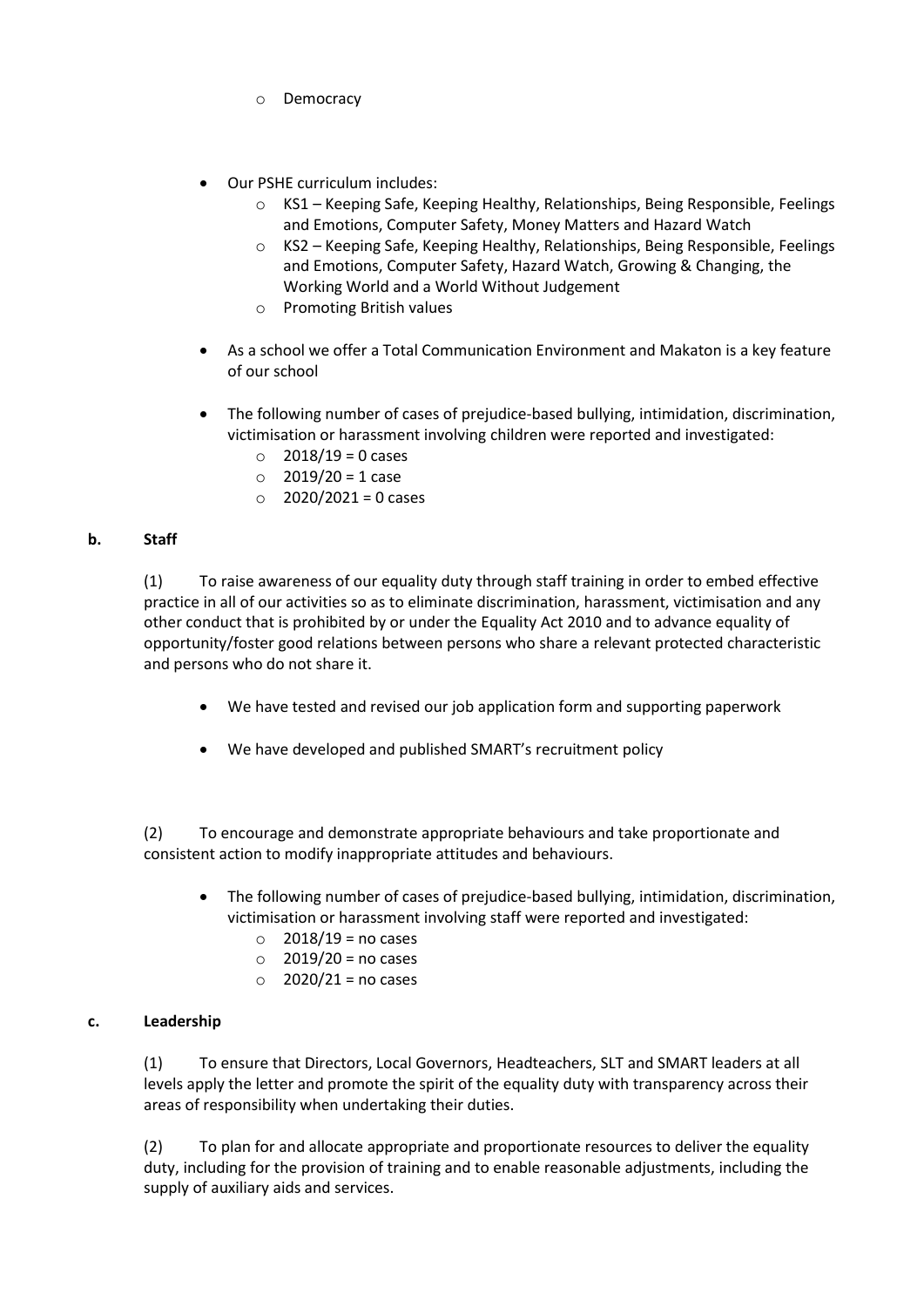- o Democracy
- Our PSHE curriculum includes:
	- $\circ$  KS1 Keeping Safe, Keeping Healthy, Relationships, Being Responsible, Feelings and Emotions, Computer Safety, Money Matters and Hazard Watch
	- o KS2 Keeping Safe, Keeping Healthy, Relationships, Being Responsible, Feelings and Emotions, Computer Safety, Hazard Watch, Growing & Changing, the Working World and a World Without Judgement
	- o Promoting British values
- As a school we offer a Total Communication Environment and Makaton is a key feature of our school
- The following number of cases of prejudice-based bullying, intimidation, discrimination, victimisation or harassment involving children were reported and investigated:
	- $\circ$  2018/19 = 0 cases
	- $\circ$  2019/20 = 1 case
	- $\circ$  2020/2021 = 0 cases

## **b. Staff**

(1) To raise awareness of our equality duty through staff training in order to embed effective practice in all of our activities so as to eliminate discrimination, harassment, victimisation and any other conduct that is prohibited by or under the Equality Act 2010 and to advance equality of opportunity/foster good relations between persons who share a relevant protected characteristic and persons who do not share it.

- We have tested and revised our job application form and supporting paperwork
- We have developed and published SMART's recruitment policy

(2) To encourage and demonstrate appropriate behaviours and take proportionate and consistent action to modify inappropriate attitudes and behaviours.

- The following number of cases of prejudice-based bullying, intimidation, discrimination, victimisation or harassment involving staff were reported and investigated:
	- $\circ$  2018/19 = no cases
	- $\circ$  2019/20 = no cases
	- $\degree$  2020/21 = no cases

## **c. Leadership**

(1) To ensure that Directors, Local Governors, Headteachers, SLT and SMART leaders at all levels apply the letter and promote the spirit of the equality duty with transparency across their areas of responsibility when undertaking their duties.

(2) To plan for and allocate appropriate and proportionate resources to deliver the equality duty, including for the provision of training and to enable reasonable adjustments, including the supply of auxiliary aids and services.